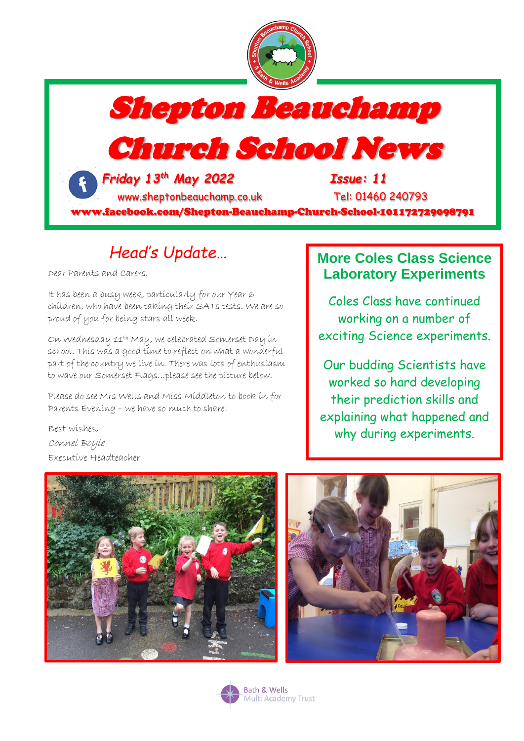



# Church School News

 *Friday 13 th May 2022 Issue: 11* [www.sheptonbeauchamp.co.uk](http://www.sheptonbeauchamp.co.uk/) Tel: 01460 240793

www.facebook.com/Shepton-Beauchamp-Church-School-101172729098791

# *Head's Update…*

Dear Parents and Carers,

It has been a busy week, particularly for our Year 6 children, who have been taking their SATs tests. We are so proud of you for being stars all week.

On Wednesday 11th May, we celebrated Somerset Day in school. This was a good time to reflect on what a wonderful part of the country we live in. There was lots of enthusiasm to wave our Somerset Flags…please see the picture below.

Please do see Mrs Wells and Miss Middleton to book in for Parents Evening – we have so much to share!

### **More Coles Class Science Laboratory Experiments**

Coles Class have continued working on a number of exciting Science experiments.

Our budding Scientists have worked so hard developing their prediction skills and explaining what happened and why during experiments.

Best wishes, Connel Boyle Executive Headteacher